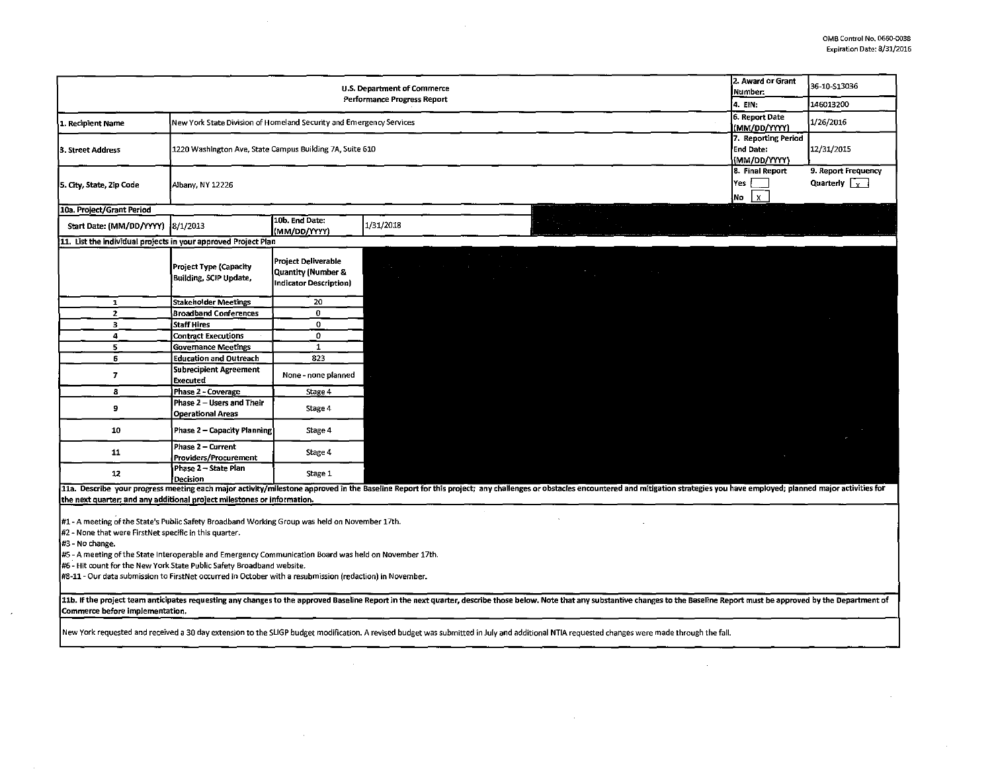$\sim 0.1$ 

 $\sim$ 

|                                                                                                                                                                                                                                |                                                             |                                                                                                     |                                                 |                                                                                                                                                                                                                                | 2. Award or Grant         |                                                  |  |  |
|--------------------------------------------------------------------------------------------------------------------------------------------------------------------------------------------------------------------------------|-------------------------------------------------------------|-----------------------------------------------------------------------------------------------------|-------------------------------------------------|--------------------------------------------------------------------------------------------------------------------------------------------------------------------------------------------------------------------------------|---------------------------|--------------------------------------------------|--|--|
| U.S. Department of Commerce<br><b>Performance Progress Report</b>                                                                                                                                                              |                                                             |                                                                                                     |                                                 |                                                                                                                                                                                                                                |                           | 36-10-S13036                                     |  |  |
|                                                                                                                                                                                                                                |                                                             |                                                                                                     |                                                 |                                                                                                                                                                                                                                |                           | 146013200                                        |  |  |
|                                                                                                                                                                                                                                |                                                             |                                                                                                     |                                                 |                                                                                                                                                                                                                                |                           |                                                  |  |  |
| New York State Division of Homeland Security and Emergency Services<br>1. Recipient Name                                                                                                                                       |                                                             |                                                                                                     |                                                 | 6. Report Date<br>(MM/DD/YYYY)                                                                                                                                                                                                 | 1/26/2016                 |                                                  |  |  |
|                                                                                                                                                                                                                                |                                                             |                                                                                                     |                                                 |                                                                                                                                                                                                                                |                           |                                                  |  |  |
| 3. Street Address                                                                                                                                                                                                              |                                                             | 7. Reporting Period<br><b>End Date:</b><br>1220 Washington Ave, State Campus Building 7A, Suite 610 |                                                 |                                                                                                                                                                                                                                |                           |                                                  |  |  |
|                                                                                                                                                                                                                                | (MM/DD/YYYY)                                                |                                                                                                     |                                                 |                                                                                                                                                                                                                                |                           |                                                  |  |  |
|                                                                                                                                                                                                                                | 8. Final Report<br>Yes<br>Albany, NY 12226                  |                                                                                                     |                                                 |                                                                                                                                                                                                                                |                           | 9. Report Frequency                              |  |  |
| 5. City, State, Zip Code                                                                                                                                                                                                       |                                                             |                                                                                                     |                                                 |                                                                                                                                                                                                                                |                           | Quarterly $\begin{bmatrix} 2 \\ 1 \end{bmatrix}$ |  |  |
|                                                                                                                                                                                                                                |                                                             |                                                                                                     |                                                 |                                                                                                                                                                                                                                | $\lfloor x \rfloor$<br>No |                                                  |  |  |
| 10a. Project/Grant Period                                                                                                                                                                                                      |                                                             |                                                                                                     |                                                 |                                                                                                                                                                                                                                |                           |                                                  |  |  |
| Start Date: (MM/DD/YYYY)                                                                                                                                                                                                       | 8/1/2013                                                    | 10b. End Date:                                                                                      | 1/31/2018                                       |                                                                                                                                                                                                                                |                           |                                                  |  |  |
|                                                                                                                                                                                                                                |                                                             | (MM/DD/YYYY)                                                                                        |                                                 |                                                                                                                                                                                                                                |                           |                                                  |  |  |
| 11. List the individual projects in your approved Project Plan                                                                                                                                                                 |                                                             |                                                                                                     |                                                 |                                                                                                                                                                                                                                |                           |                                                  |  |  |
|                                                                                                                                                                                                                                |                                                             | <b>Project Deliverable</b>                                                                          |                                                 |                                                                                                                                                                                                                                |                           |                                                  |  |  |
|                                                                                                                                                                                                                                | <b>Project Type (Capacity</b>                               | Quantity (Number &                                                                                  |                                                 | <u> Tagairtí an Ch</u><br>$\mathcal{O}(\mathcal{O}(\log n))$                                                                                                                                                                   |                           |                                                  |  |  |
|                                                                                                                                                                                                                                | Building, SCIP Update,                                      | <b>Indicator Description)</b>                                                                       | the contract of the contract of the contract of |                                                                                                                                                                                                                                |                           |                                                  |  |  |
|                                                                                                                                                                                                                                |                                                             |                                                                                                     |                                                 |                                                                                                                                                                                                                                |                           |                                                  |  |  |
| $\mathbf{1}$<br>$\overline{2}$                                                                                                                                                                                                 | <b>Stakeholder Meetings</b><br><b>Broadband Conferences</b> | 20<br>$\mathbf 0$                                                                                   |                                                 |                                                                                                                                                                                                                                |                           |                                                  |  |  |
| 3                                                                                                                                                                                                                              | <b>Staff Hires</b>                                          | $\Omega$                                                                                            |                                                 |                                                                                                                                                                                                                                |                           |                                                  |  |  |
| 4                                                                                                                                                                                                                              | <b>Contract Executions</b>                                  | $\circ$                                                                                             |                                                 |                                                                                                                                                                                                                                |                           |                                                  |  |  |
| 5                                                                                                                                                                                                                              | <b>Governance Meetings</b>                                  | 1                                                                                                   |                                                 |                                                                                                                                                                                                                                |                           |                                                  |  |  |
| 6                                                                                                                                                                                                                              | <b>Education and Outreach</b>                               | 823                                                                                                 |                                                 |                                                                                                                                                                                                                                |                           |                                                  |  |  |
|                                                                                                                                                                                                                                | <b>Subrecipient Agreement</b>                               |                                                                                                     |                                                 |                                                                                                                                                                                                                                |                           |                                                  |  |  |
| $\overline{z}$                                                                                                                                                                                                                 | Executed                                                    | None - none planned                                                                                 |                                                 |                                                                                                                                                                                                                                |                           |                                                  |  |  |
| 8                                                                                                                                                                                                                              | Phase 2 - Coverage                                          | Stage 4                                                                                             |                                                 |                                                                                                                                                                                                                                |                           |                                                  |  |  |
| $\mathbf{9}$                                                                                                                                                                                                                   | Phase 2 - Users and Their                                   | Stage 4                                                                                             |                                                 |                                                                                                                                                                                                                                |                           |                                                  |  |  |
|                                                                                                                                                                                                                                | Operational Areas                                           |                                                                                                     |                                                 |                                                                                                                                                                                                                                |                           |                                                  |  |  |
| 10                                                                                                                                                                                                                             | <b>Phase 2 - Capacity Planning</b>                          | Stage 4                                                                                             |                                                 |                                                                                                                                                                                                                                |                           |                                                  |  |  |
|                                                                                                                                                                                                                                | Phase 2 - Current                                           |                                                                                                     |                                                 |                                                                                                                                                                                                                                |                           |                                                  |  |  |
| 11                                                                                                                                                                                                                             | Providers/Procurement                                       | Stage 4                                                                                             |                                                 |                                                                                                                                                                                                                                |                           |                                                  |  |  |
|                                                                                                                                                                                                                                | Phase 2 - State Plan                                        |                                                                                                     |                                                 |                                                                                                                                                                                                                                |                           |                                                  |  |  |
| 12                                                                                                                                                                                                                             | Decision                                                    | Stage 1                                                                                             |                                                 |                                                                                                                                                                                                                                |                           |                                                  |  |  |
|                                                                                                                                                                                                                                |                                                             |                                                                                                     |                                                 | 11a. Describe your progress meeting each major activity/milestone approved in the Baseline Report for this project; any challenges or obstacles encountered and mitigation strategies you have employed; planned major activit |                           |                                                  |  |  |
| the next quarter; and any additional project milestones or information.                                                                                                                                                        |                                                             |                                                                                                     |                                                 |                                                                                                                                                                                                                                |                           |                                                  |  |  |
|                                                                                                                                                                                                                                |                                                             |                                                                                                     |                                                 |                                                                                                                                                                                                                                |                           |                                                  |  |  |
| #1 - A meeting of the State's Public Safety Broadband Working Group was held on November 17th.<br>#2 - None that were FirstNet specific in this quarter.                                                                       |                                                             |                                                                                                     |                                                 |                                                                                                                                                                                                                                |                           |                                                  |  |  |
| #3 - No change.                                                                                                                                                                                                                |                                                             |                                                                                                     |                                                 |                                                                                                                                                                                                                                |                           |                                                  |  |  |
| #5 - A meeting of the State Interoperable and Emergency Communication Board was held on November 17th.                                                                                                                         |                                                             |                                                                                                     |                                                 |                                                                                                                                                                                                                                |                           |                                                  |  |  |
| #6 - Hit count for the New York State Public Safety Broadband website.                                                                                                                                                         |                                                             |                                                                                                     |                                                 |                                                                                                                                                                                                                                |                           |                                                  |  |  |
| #8-11 - Our data submission to FirstNet occurred in October with a resubmission (redaction) in November.                                                                                                                       |                                                             |                                                                                                     |                                                 |                                                                                                                                                                                                                                |                           |                                                  |  |  |
|                                                                                                                                                                                                                                |                                                             |                                                                                                     |                                                 |                                                                                                                                                                                                                                |                           |                                                  |  |  |
| 11b. If the project team anticipates requesting any changes to the approved Baseline Report in the next quarter, describe those below. Note that any substantive changes to the Baseline Report must be approved by the Depart |                                                             |                                                                                                     |                                                 |                                                                                                                                                                                                                                |                           |                                                  |  |  |
| Commerce before implementation.                                                                                                                                                                                                |                                                             |                                                                                                     |                                                 |                                                                                                                                                                                                                                |                           |                                                  |  |  |
|                                                                                                                                                                                                                                |                                                             |                                                                                                     |                                                 |                                                                                                                                                                                                                                |                           |                                                  |  |  |
| New York requested and received a 30 day extension to the SLIGP budget modification. A revised budget was submitted in July and additional NTIA requested changes were made through the fall.                                  |                                                             |                                                                                                     |                                                 |                                                                                                                                                                                                                                |                           |                                                  |  |  |

 $\sim$ 

 $\mathcal{L}^{\pm}$ 

 $\alpha$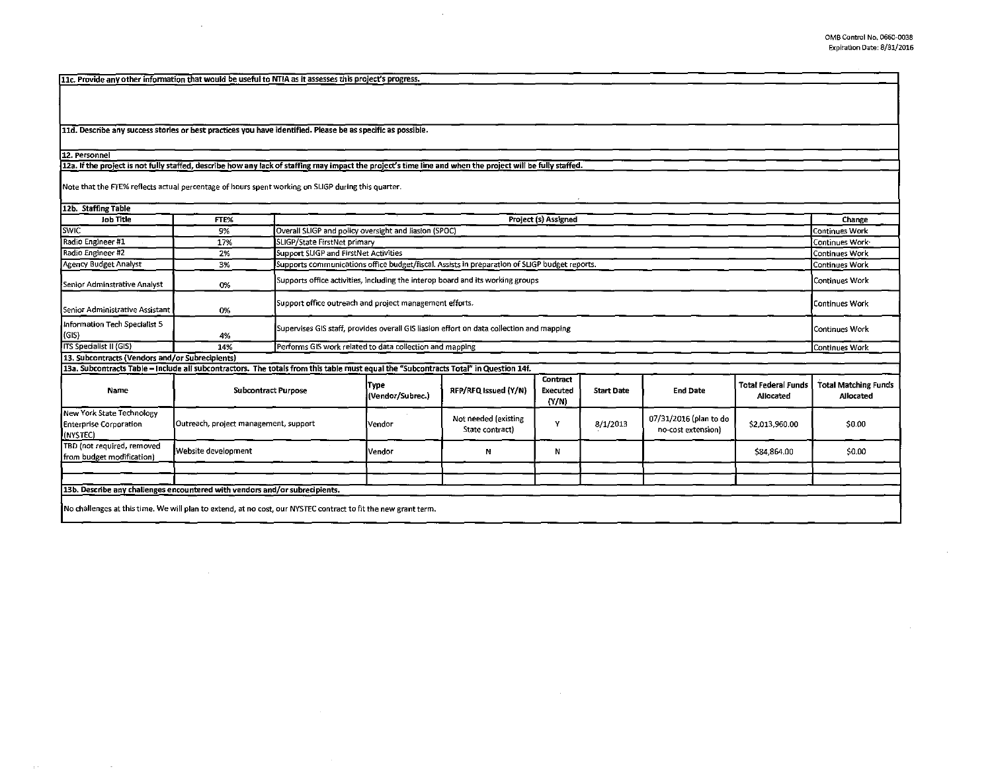11c. Provide any other information that would be useful to NTIA as it assesses this project's progress.

 $\sim$ 

11d. Describe any success stories or best practices you have identified. Please be as specific as possible.

## 12. personnel

## 12a. If the project is not fully staffed, describe how any lack of staffing may impact the project's time line and when the project will be fully staffed.

Note that the FTE% reflects actual percentage of hours spent working on SLIGP during this quarter.

| 12b. Staffing Table                                                                                                                   |                                       |                      |                                                                                                                        |                                         |                               |                   |                                              |                                         |                                          |
|---------------------------------------------------------------------------------------------------------------------------------------|---------------------------------------|----------------------|------------------------------------------------------------------------------------------------------------------------|-----------------------------------------|-------------------------------|-------------------|----------------------------------------------|-----------------------------------------|------------------------------------------|
| <b>Job Title</b>                                                                                                                      | FTE%                                  | Project (s) Assigned |                                                                                                                        |                                         |                               |                   |                                              | Change                                  |                                          |
| Swic <sup>-</sup>                                                                                                                     | 9%                                    |                      | Overall SLIGP and policy oversight and liasion (SPOC)                                                                  |                                         |                               |                   |                                              | Continues Work                          |                                          |
| Radio Engineer #1                                                                                                                     | 17%                                   |                      | SLIGP/State FirstNet primary                                                                                           |                                         |                               |                   |                                              |                                         | Continues Work                           |
| Radio Engineer #2                                                                                                                     | 2%                                    |                      | Support SLIGP and FirstNet Activities<br>Continues Work                                                                |                                         |                               |                   |                                              |                                         |                                          |
| Agency Budget Analyst                                                                                                                 | 3%                                    |                      | Supports communications office budget/fiscal. Assists in preparation of SLIGP budget reports.<br><b>Continues Work</b> |                                         |                               |                   |                                              |                                         |                                          |
| Senior Adminstrative Analyst                                                                                                          | 0%                                    |                      | Supports office activities, including the interop board and its working groups                                         |                                         |                               |                   |                                              |                                         |                                          |
| <b>I</b> Senior Administrative Assistant                                                                                              | 0%                                    |                      | Support office outreach and project management efforts.                                                                |                                         |                               |                   |                                              |                                         | Continues Work                           |
| Information Tech Specialist 5<br>(GIS)                                                                                                | 4%                                    |                      | Supervises GIS staff, provides overall GIS liasion effort on data collection and mapping<br>Continues Work             |                                         |                               |                   |                                              |                                         |                                          |
| <b>ITS Specialist II (GIS)</b>                                                                                                        | 14%                                   |                      | Performs GIS work related to data collection and mapping<br><b>Continues Work</b>                                      |                                         |                               |                   |                                              |                                         |                                          |
| 13. Subcontracts (Vendors and/or Subrecipients)                                                                                       |                                       |                      |                                                                                                                        |                                         |                               |                   |                                              |                                         |                                          |
| 13a. Subcontracts Table - Include all subcontractors. The totals from this table must equal the "Subcontracts Total" in Question 14f. |                                       |                      |                                                                                                                        |                                         |                               |                   |                                              |                                         |                                          |
| Name                                                                                                                                  | <b>Subcontract Purpose</b>            |                      | [Type<br>(Vendor/Subrec.)                                                                                              | RFP/RFQ Issued (Y/N)                    | Contract<br>Executed<br>(N/N) | <b>Start Date</b> | <b>End Date</b>                              | <b>Total Federal Funds</b><br>Allocated | <b>Total Matching Funds</b><br>Allocated |
| New York State Technology<br><b>Enterprise Corporation</b><br>(NYSTEC)                                                                | Outreach, project management, support |                      | Vendor                                                                                                                 | Not needed (existing<br>State contract) |                               | 8/1/2013          | 07/31/2016 (plan to do<br>no-cost extension) | \$2,013,960.00                          | \$0.00                                   |
| TBD (not required, removed<br>from budget modification)                                                                               | Website development                   |                      | <b>Vendor</b>                                                                                                          | N                                       | N                             |                   |                                              | \$84,864.00                             | \$0.00                                   |
|                                                                                                                                       |                                       |                      |                                                                                                                        |                                         |                               |                   |                                              |                                         |                                          |
|                                                                                                                                       |                                       |                      |                                                                                                                        |                                         |                               |                   |                                              |                                         |                                          |
| 13b. Describe any challenges encountered with vendors and/or subrecipients.                                                           |                                       |                      |                                                                                                                        |                                         |                               |                   |                                              |                                         |                                          |
| [No challenges at this time, We will plan to extend, at no cost, our NYSTEC contract to fit the new grant term.                       |                                       |                      |                                                                                                                        |                                         |                               |                   |                                              |                                         |                                          |